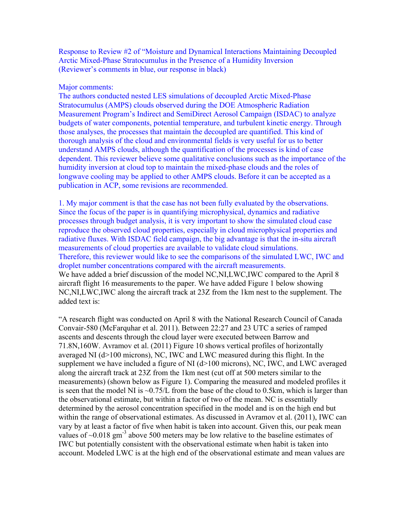Response to Review #2 of "Moisture and Dynamical Interactions Maintaining Decoupled Arctic Mixed-Phase Stratocumulus in the Presence of a Humidity Inversion (Reviewer's comments in blue, our response in black)

### Major comments:

The authors conducted nested LES simulations of decoupled Arctic Mixed-Phase Stratocumulus (AMPS) clouds observed during the DOE Atmospheric Radiation Measurement Program's Indirect and SemiDirect Aerosol Campaign (ISDAC) to analyze budgets of water components, potential temperature, and turbulent kinetic energy. Through those analyses, the processes that maintain the decoupled are quantified. This kind of thorough analysis of the cloud and environmental fields is very useful for us to better understand AMPS clouds, although the quantification of the processes is kind of case dependent. This reviewer believe some qualitative conclusions such as the importance of the humidity inversion at cloud top to maintain the mixed-phase clouds and the roles of longwave cooling may be applied to other AMPS clouds. Before it can be accepted as a publication in ACP, some revisions are recommended.

1. My major comment is that the case has not been fully evaluated by the observations. Since the focus of the paper is in quantifying microphysical, dynamics and radiative processes through budget analysis, it is very important to show the simulated cloud case reproduce the observed cloud properties, especially in cloud microphysical properties and radiative fluxes. With ISDAC field campaign, the big advantage is that the in-situ aircraft measurements of cloud properties are available to validate cloud simulations. Therefore, this reviewer would like to see the comparisons of the simulated LWC, IWC and droplet number concentrations compared with the aircraft measurements. We have added a brief discussion of the model NC, NI, LWC, IWC compared to the April 8 aircraft flight 16 measurements to the paper. We have added Figure 1 below showing NC,NI,LWC,IWC along the aircraft track at 23Z from the 1km nest to the supplement. The added text is:

"A research flight was conducted on April 8 with the National Research Council of Canada Convair-580 (McFarquhar et al. 2011). Between 22:27 and 23 UTC a series of ramped ascents and descents through the cloud layer were executed between Barrow and 71.8N,160W. Avramov et al. (2011) Figure 10 shows vertical profiles of horizontally averaged NI (d>100 microns), NC, IWC and LWC measured during this flight. In the supplement we have included a figure of NI (d>100 microns), NC, IWC, and LWC averaged along the aircraft track at 23Z from the 1km nest (cut off at 500 meters similar to the measurements) (shown below as Figure 1). Comparing the measured and modeled profiles it is seen that the model NI is  $\sim 0.75/L$  from the base of the cloud to 0.5km, which is larger than the observational estimate, but within a factor of two of the mean. NC is essentially determined by the aerosol concentration specified in the model and is on the high end but within the range of observational estimates. As discussed in Avramov et al. (2011), IWC can vary by at least a factor of five when habit is taken into account. Given this, our peak mean values of  $\sim$ 0.018 gm<sup>-3</sup> above 500 meters may be low relative to the baseline estimates of IWC but potentially consistent with the observational estimate when habit is taken into account. Modeled LWC is at the high end of the observational estimate and mean values are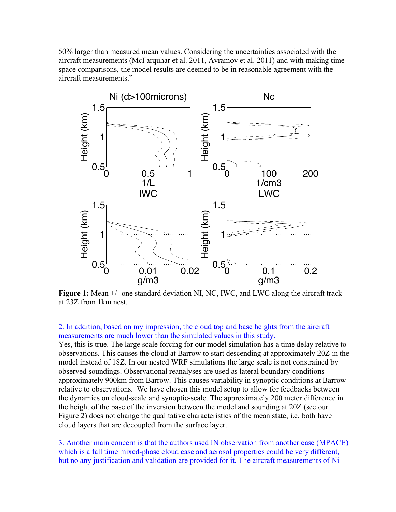50% larger than measured mean values. Considering the uncertainties associated with the aircraft measurements (McFarquhar et al. 2011, Avramov et al. 2011) and with making timespace comparisons, the model results are deemed to be in reasonable agreement with the aircraft measurements."



**Figure 1:** Mean  $+/-$  one standard deviation NI, NC, IWC, and LWC along the aircraft track at 23Z from 1km nest.

### 2. In addition, based on my impression, the cloud top and base heights from the aircraft measurements are much lower than the simulated values in this study.

Yes, this is true. The large scale forcing for our model simulation has a time delay relative to observations. This causes the cloud at Barrow to start descending at approximately 20Z in the model instead of 18Z. In our nested WRF simulations the large scale is not constrained by observed soundings. Observational reanalyses are used as lateral boundary conditions approximately 900km from Barrow. This causes variability in synoptic conditions at Barrow relative to observations. We have chosen this model setup to allow for feedbacks between the dynamics on cloud-scale and synoptic-scale. The approximately 200 meter difference in the height of the base of the inversion between the model and sounding at 20Z (see our Figure 2) does not change the qualitative characteristics of the mean state, i.e. both have cloud layers that are decoupled from the surface layer.

3. Another main concern is that the authors used IN observation from another case (MPACE) which is a fall time mixed-phase cloud case and aerosol properties could be very different, but no any justification and validation are provided for it. The aircraft measurements of Ni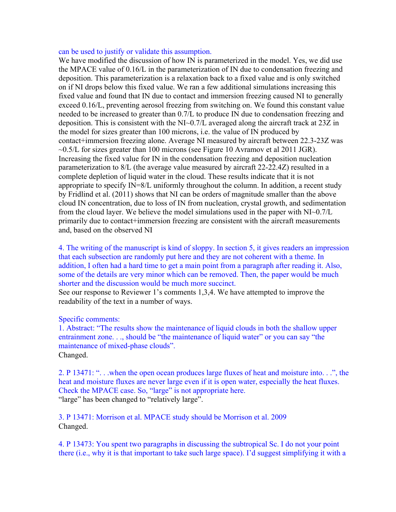### can be used to justify or validate this assumption.

We have modified the discussion of how IN is parameterized in the model. Yes, we did use the MPACE value of 0.16/L in the parameterization of IN due to condensation freezing and deposition. This parameterization is a relaxation back to a fixed value and is only switched on if NI drops below this fixed value. We ran a few additional simulations increasing this fixed value and found that IN due to contact and immersion freezing caused NI to generally exceed 0.16/L, preventing aerosol freezing from switching on. We found this constant value needed to be increased to greater than 0.7/L to produce IN due to condensation freezing and deposition. This is consistent with the NI~0.7/L averaged along the aircraft track at 23Z in the model for sizes greater than 100 microns, i.e. the value of IN produced by contact+immersion freezing alone. Average NI measured by aircraft between 22.3-23Z was  $\sim$ 0.5/L for sizes greater than 100 microns (see Figure 10 Avramov et al 2011 JGR). Increasing the fixed value for IN in the condensation freezing and deposition nucleation parameterization to 8/L (the average value measured by aircraft 22-22.4Z) resulted in a complete depletion of liquid water in the cloud. These results indicate that it is not appropriate to specify IN=8/L uniformly throughout the column. In addition, a recent study by Fridlind et al. (2011) shows that NI can be orders of magnitude smaller than the above cloud IN concentration, due to loss of IN from nucleation, crystal growth, and sedimentation from the cloud layer. We believe the model simulations used in the paper with NI~0.7/L primarily due to contact+immersion freezing are consistent with the aircraft measurements and, based on the observed NI

4. The writing of the manuscript is kind of sloppy. In section 5, it gives readers an impression that each subsection are randomly put here and they are not coherent with a theme. In addition, I often had a hard time to get a main point from a paragraph after reading it. Also, some of the details are very minor which can be removed. Then, the paper would be much shorter and the discussion would be much more succinct.

See our response to Reviewer 1's comments 1,3,4. We have attempted to improve the readability of the text in a number of ways.

#### Specific comments:

1. Abstract: "The results show the maintenance of liquid clouds in both the shallow upper entrainment zone. . ., should be "the maintenance of liquid water" or you can say "the maintenance of mixed-phase clouds". Changed.

2. P 13471: ". . .when the open ocean produces large fluxes of heat and moisture into. . .", the heat and moisture fluxes are never large even if it is open water, especially the heat fluxes. Check the MPACE case. So, "large" is not appropriate here. "large" has been changed to "relatively large".

3. P 13471: Morrison et al. MPACE study should be Morrison et al. 2009 Changed.

4. P 13473: You spent two paragraphs in discussing the subtropical Sc. I do not your point there (i.e., why it is that important to take such large space). I'd suggest simplifying it with a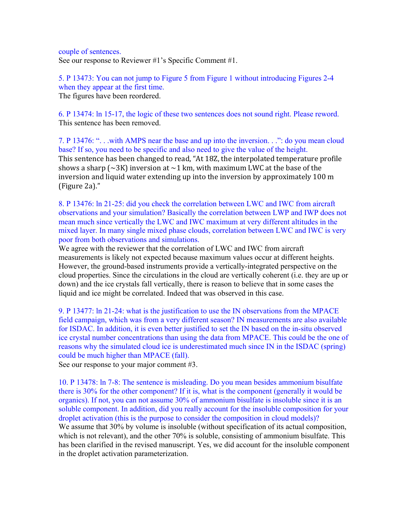couple of sentences. See our response to Reviewer #1's Specific Comment #1.

5. P 13473: You can not jump to Figure 5 from Figure 1 without introducing Figures 2-4 when they appear at the first time. The figures have been reordered.

6. P 13474: ln 15-17, the logic of these two sentences does not sound right. Please reword. This sentence has been removed.

7. P 13476: ". . .with AMPS near the base and up into the inversion. . .": do you mean cloud base? If so, you need to be specific and also need to give the value of the height. This sentence has been changed to read, "At 18Z, the interpolated temperature profile shows a sharp ( $\sim$ 3K) inversion at  $\sim$ 1 km, with maximum LWC at the base of the inversion and liquid water extending up into the inversion by approximately 100  $m$ (Figure 2a)."

8. P 13476: ln 21-25: did you check the correlation between LWC and IWC from aircraft observations and your simulation? Basically the correlation between LWP and IWP does not mean much since vertically the LWC and IWC maximum at very different altitudes in the mixed layer. In many single mixed phase clouds, correlation between LWC and IWC is very poor from both observations and simulations.

We agree with the reviewer that the correlation of LWC and IWC from aircraft measurements is likely not expected because maximum values occur at different heights. However, the ground-based instruments provide a vertically-integrated perspective on the cloud properties. Since the circulations in the cloud are vertically coherent (i.e. they are up or down) and the ice crystals fall vertically, there is reason to believe that in some cases the liquid and ice might be correlated. Indeed that was observed in this case.

9. P 13477: ln 21-24: what is the justification to use the IN observations from the MPACE field campaign, which was from a very different season? IN measurements are also available for ISDAC. In addition, it is even better justified to set the IN based on the in-situ observed ice crystal number concentrations than using the data from MPACE. This could be the one of reasons why the simulated cloud ice is underestimated much since IN in the ISDAC (spring) could be much higher than MPACE (fall).

See our response to your major comment #3.

10. P 13478: ln 7-8: The sentence is misleading. Do you mean besides ammonium bisulfate there is 30% for the other component? If it is, what is the component (generally it would be organics). If not, you can not assume 30% of ammonium bisulfate is insoluble since it is an soluble component. In addition, did you really account for the insoluble composition for your droplet activation (this is the purpose to consider the composition in cloud models)? We assume that 30% by volume is insoluble (without specification of its actual composition, which is not relevant), and the other 70% is soluble, consisting of ammonium bisulfate. This has been clarified in the revised manuscript. Yes, we did account for the insoluble component in the droplet activation parameterization.